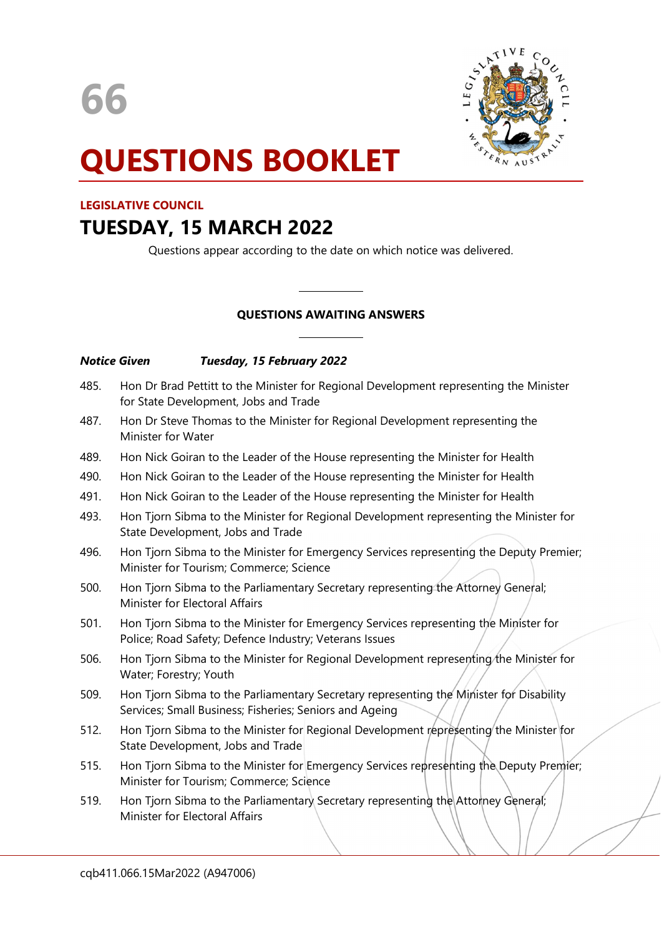

# QUESTIONS BOOKLET

#### LEGISLATIVE COUNCIL

## TUESDAY, 15 MARCH 2022

Questions appear according to the date on which notice was delivered.

### QUESTIONS AWAITING ANSWERS

 $\overline{a}$ 

 $\overline{a}$ 

#### Notice Given Tuesday, 15 February 2022

- 485. Hon Dr Brad Pettitt to the Minister for Regional Development representing the Minister for State Development, Jobs and Trade
- 487. Hon Dr Steve Thomas to the Minister for Regional Development representing the Minister for Water
- 489. Hon Nick Goiran to the Leader of the House representing the Minister for Health
- 490. Hon Nick Goiran to the Leader of the House representing the Minister for Health
- 491. Hon Nick Goiran to the Leader of the House representing the Minister for Health
- 493. Hon Tjorn Sibma to the Minister for Regional Development representing the Minister for State Development, Jobs and Trade
- 496. Hon Tjorn Sibma to the Minister for Emergency Services representing the Deputy Premier; Minister for Tourism; Commerce; Science
- 500. Hon Tjorn Sibma to the Parliamentary Secretary representing the Attorney General; Minister for Electoral Affairs
- 501. Hon Tjorn Sibma to the Minister for Emergency Services representing the Minister for Police; Road Safety; Defence Industry; Veterans Issues
- 506. Hon Tjorn Sibma to the Minister for Regional Development representing the Minister for Water; Forestry; Youth
- 509. Hon Tjorn Sibma to the Parliamentary Secretary representing the Minister for Disability Services; Small Business; Fisheries; Seniors and Ageing
- 512. Hon Tjorn Sibma to the Minister for Regional Development representing the Minister for State Development, Jobs and Trade
- 515. Hon Tjorn Sibma to the Minister for Emergency Services representing the Deputy Premier; Minister for Tourism; Commerce; Science
- 519. Hon Tjorn Sibma to the Parliamentary Secretary representing the Attorney General; Minister for Electoral Affairs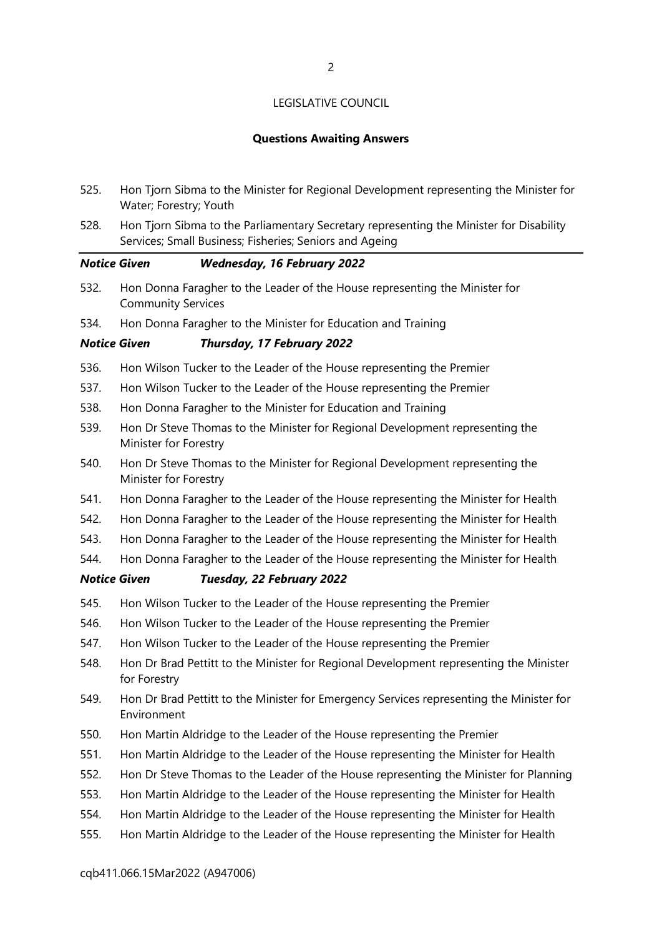#### Questions Awaiting Answers

- 525. Hon Tjorn Sibma to the Minister for Regional Development representing the Minister for Water; Forestry; Youth
- 528. Hon Tjorn Sibma to the Parliamentary Secretary representing the Minister for Disability Services; Small Business; Fisheries; Seniors and Ageing

#### Notice Given Wednesday, 16 February 2022

- 532. Hon Donna Faragher to the Leader of the House representing the Minister for Community Services
- 534. Hon Donna Faragher to the Minister for Education and Training

#### Notice Given Thursday, 17 February 2022

- 536. Hon Wilson Tucker to the Leader of the House representing the Premier
- 537. Hon Wilson Tucker to the Leader of the House representing the Premier
- 538. Hon Donna Faragher to the Minister for Education and Training
- 539. Hon Dr Steve Thomas to the Minister for Regional Development representing the Minister for Forestry
- 540. Hon Dr Steve Thomas to the Minister for Regional Development representing the Minister for Forestry
- 541. Hon Donna Faragher to the Leader of the House representing the Minister for Health
- 542. Hon Donna Faragher to the Leader of the House representing the Minister for Health
- 543. Hon Donna Faragher to the Leader of the House representing the Minister for Health
- 544. Hon Donna Faragher to the Leader of the House representing the Minister for Health

#### Notice Given Tuesday, 22 February 2022

- 545. Hon Wilson Tucker to the Leader of the House representing the Premier
- 546. Hon Wilson Tucker to the Leader of the House representing the Premier
- 547. Hon Wilson Tucker to the Leader of the House representing the Premier
- 548. Hon Dr Brad Pettitt to the Minister for Regional Development representing the Minister for Forestry
- 549. Hon Dr Brad Pettitt to the Minister for Emergency Services representing the Minister for Environment
- 550. Hon Martin Aldridge to the Leader of the House representing the Premier
- 551. Hon Martin Aldridge to the Leader of the House representing the Minister for Health
- 552. Hon Dr Steve Thomas to the Leader of the House representing the Minister for Planning
- 553. Hon Martin Aldridge to the Leader of the House representing the Minister for Health
- 554. Hon Martin Aldridge to the Leader of the House representing the Minister for Health
- 555. Hon Martin Aldridge to the Leader of the House representing the Minister for Health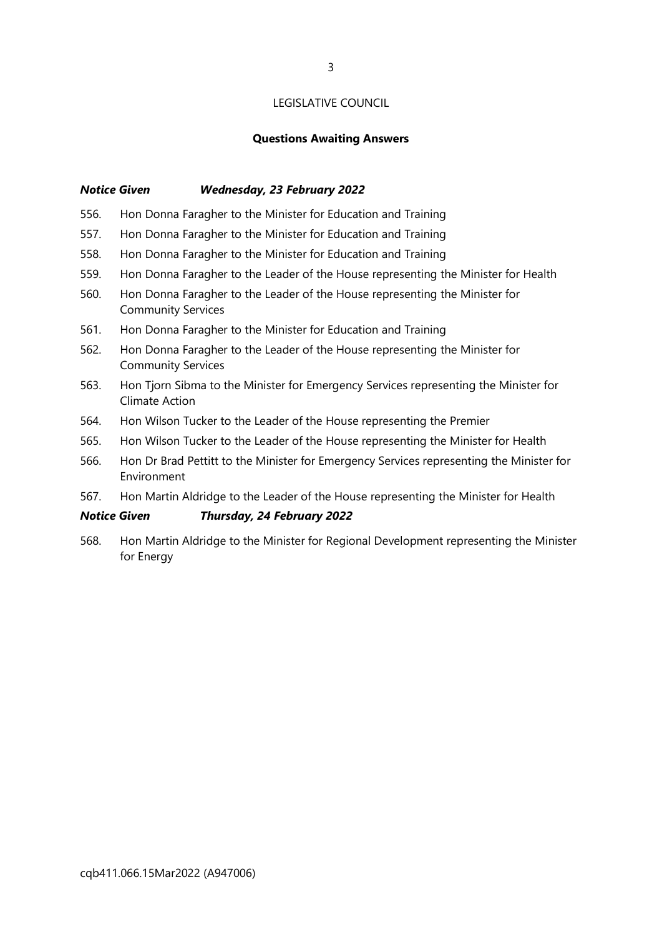#### Questions Awaiting Answers

#### Notice Given Wednesday, 23 February 2022

- 556. Hon Donna Faragher to the Minister for Education and Training
- 557. Hon Donna Faragher to the Minister for Education and Training
- 558. Hon Donna Faragher to the Minister for Education and Training
- 559. Hon Donna Faragher to the Leader of the House representing the Minister for Health
- 560. Hon Donna Faragher to the Leader of the House representing the Minister for Community Services
- 561. Hon Donna Faragher to the Minister for Education and Training
- 562. Hon Donna Faragher to the Leader of the House representing the Minister for Community Services
- 563. Hon Tjorn Sibma to the Minister for Emergency Services representing the Minister for Climate Action
- 564. Hon Wilson Tucker to the Leader of the House representing the Premier
- 565. Hon Wilson Tucker to the Leader of the House representing the Minister for Health
- 566. Hon Dr Brad Pettitt to the Minister for Emergency Services representing the Minister for Environment
- 567. Hon Martin Aldridge to the Leader of the House representing the Minister for Health

#### Notice Given Thursday, 24 February 2022

568. Hon Martin Aldridge to the Minister for Regional Development representing the Minister for Energy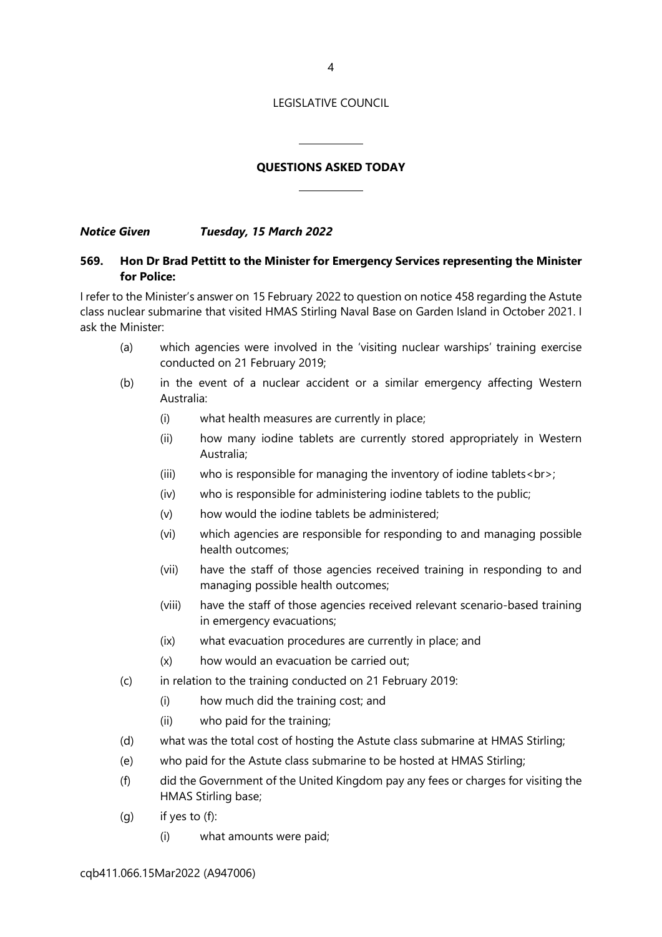4

#### LEGISLATIVE COUNCIL

#### QUESTIONS ASKED TODAY

 $\overline{a}$ 

 $\overline{a}$ 

Notice Given Tuesday, 15 March 2022

#### 569. Hon Dr Brad Pettitt to the Minister for Emergency Services representing the Minister for Police:

I refer to the Minister's answer on 15 February 2022 to question on notice 458 regarding the Astute class nuclear submarine that visited HMAS Stirling Naval Base on Garden Island in October 2021. I ask the Minister:

- (a) which agencies were involved in the 'visiting nuclear warships' training exercise conducted on 21 February 2019;
- (b) in the event of a nuclear accident or a similar emergency affecting Western Australia:
	- (i) what health measures are currently in place;
	- (ii) how many iodine tablets are currently stored appropriately in Western Australia;
	- (iii) who is responsible for managing the inventory of iodine tablets<br>;
	- (iv) who is responsible for administering iodine tablets to the public;
	- (v) how would the iodine tablets be administered;
	- (vi) which agencies are responsible for responding to and managing possible health outcomes;
	- (vii) have the staff of those agencies received training in responding to and managing possible health outcomes;
	- (viii) have the staff of those agencies received relevant scenario-based training in emergency evacuations;
	- (ix) what evacuation procedures are currently in place; and
	- (x) how would an evacuation be carried out;
- (c) in relation to the training conducted on 21 February 2019:
	- (i) how much did the training cost; and
	- (ii) who paid for the training;
- (d) what was the total cost of hosting the Astute class submarine at HMAS Stirling;
- (e) who paid for the Astute class submarine to be hosted at HMAS Stirling;
- (f) did the Government of the United Kingdom pay any fees or charges for visiting the HMAS Stirling base;
- (g) if yes to  $(f)$ :
	- (i) what amounts were paid;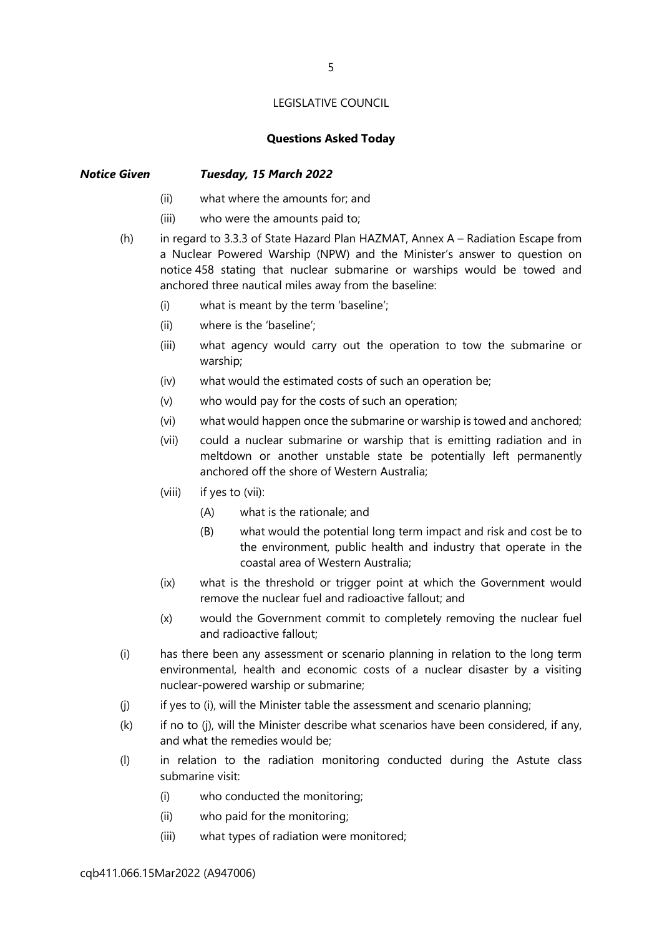#### Questions Asked Today

#### Notice Given Tuesday, 15 March 2022

- (ii) what where the amounts for; and
- (iii) who were the amounts paid to;
- (h) in regard to 3.3.3 of State Hazard Plan HAZMAT, Annex A Radiation Escape from a Nuclear Powered Warship (NPW) and the Minister's answer to question on notice 458 stating that nuclear submarine or warships would be towed and anchored three nautical miles away from the baseline:
	- (i) what is meant by the term 'baseline';
	- (ii) where is the 'baseline';
	- (iii) what agency would carry out the operation to tow the submarine or warship;
	- (iv) what would the estimated costs of such an operation be;
	- (v) who would pay for the costs of such an operation;
	- (vi) what would happen once the submarine or warship is towed and anchored;
	- (vii) could a nuclear submarine or warship that is emitting radiation and in meltdown or another unstable state be potentially left permanently anchored off the shore of Western Australia;
	- (viii) if yes to (vii):
		- (A) what is the rationale; and
		- (B) what would the potential long term impact and risk and cost be to the environment, public health and industry that operate in the coastal area of Western Australia;
	- (ix) what is the threshold or trigger point at which the Government would remove the nuclear fuel and radioactive fallout; and
	- (x) would the Government commit to completely removing the nuclear fuel and radioactive fallout;
- (i) has there been any assessment or scenario planning in relation to the long term environmental, health and economic costs of a nuclear disaster by a visiting nuclear-powered warship or submarine;
- (j) if yes to (i), will the Minister table the assessment and scenario planning;
- (k) if no to (j), will the Minister describe what scenarios have been considered, if any, and what the remedies would be;
- (l) in relation to the radiation monitoring conducted during the Astute class submarine visit:
	- (i) who conducted the monitoring;
	- (ii) who paid for the monitoring;
	- (iii) what types of radiation were monitored;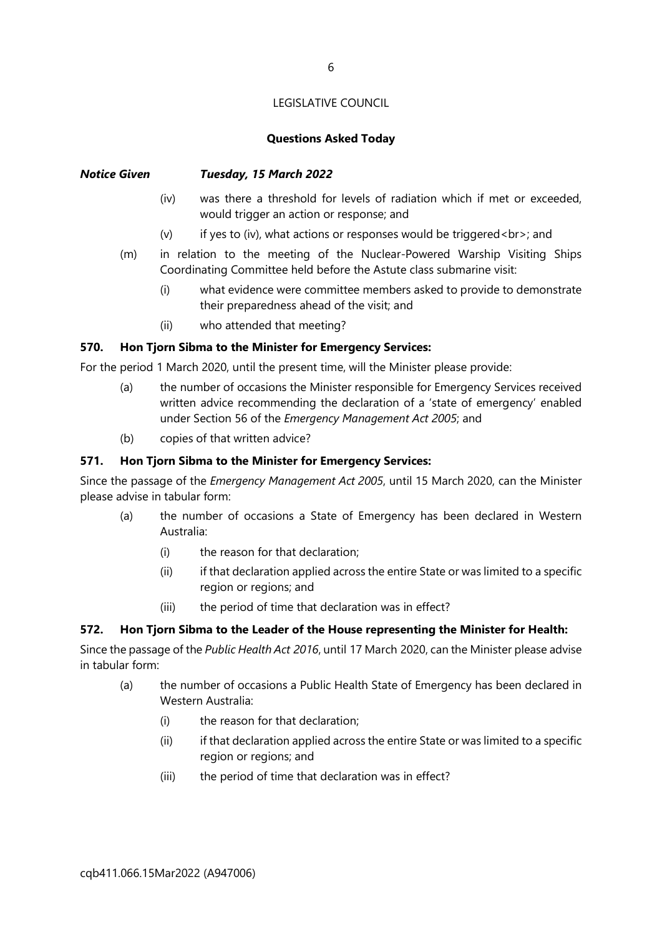#### Questions Asked Today

#### Notice Given Tuesday, 15 March 2022

- (iv) was there a threshold for levels of radiation which if met or exceeded, would trigger an action or response; and
- (v) if yes to (iv), what actions or responses would be triggered < br>>br>; and
- (m) in relation to the meeting of the Nuclear-Powered Warship Visiting Ships Coordinating Committee held before the Astute class submarine visit:
	- (i) what evidence were committee members asked to provide to demonstrate their preparedness ahead of the visit; and
	- (ii) who attended that meeting?

#### 570. Hon Tjorn Sibma to the Minister for Emergency Services:

For the period 1 March 2020, until the present time, will the Minister please provide:

- (a) the number of occasions the Minister responsible for Emergency Services received written advice recommending the declaration of a 'state of emergency' enabled under Section 56 of the Emergency Management Act 2005; and
- (b) copies of that written advice?

#### 571. Hon Tjorn Sibma to the Minister for Emergency Services:

Since the passage of the Emergency Management Act 2005, until 15 March 2020, can the Minister please advise in tabular form:

- (a) the number of occasions a State of Emergency has been declared in Western Australia:
	- (i) the reason for that declaration;
	- (ii) if that declaration applied across the entire State or was limited to a specific region or regions; and
	- (iii) the period of time that declaration was in effect?

#### 572. Hon Tjorn Sibma to the Leader of the House representing the Minister for Health:

Since the passage of the Public Health Act 2016, until 17 March 2020, can the Minister please advise in tabular form:

- (a) the number of occasions a Public Health State of Emergency has been declared in Western Australia:
	- (i) the reason for that declaration;
	- (ii) if that declaration applied across the entire State or was limited to a specific region or regions; and
	- (iii) the period of time that declaration was in effect?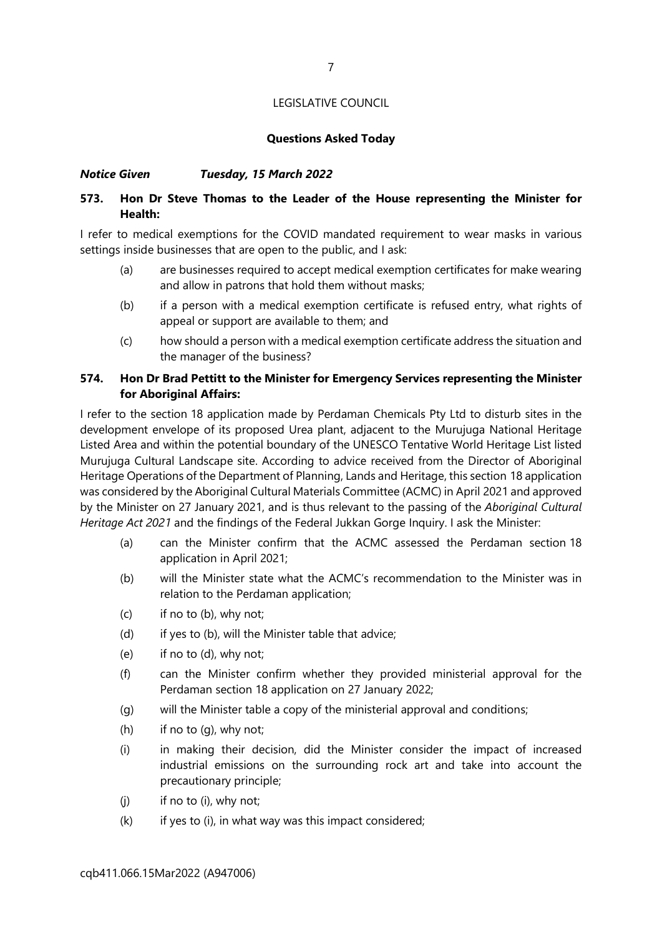#### Questions Asked Today

#### Notice Given Tuesday, 15 March 2022

#### 573. Hon Dr Steve Thomas to the Leader of the House representing the Minister for Health:

I refer to medical exemptions for the COVID mandated requirement to wear masks in various settings inside businesses that are open to the public, and I ask:

- (a) are businesses required to accept medical exemption certificates for make wearing and allow in patrons that hold them without masks;
- (b) if a person with a medical exemption certificate is refused entry, what rights of appeal or support are available to them; and
- (c) how should a person with a medical exemption certificate address the situation and the manager of the business?

#### 574. Hon Dr Brad Pettitt to the Minister for Emergency Services representing the Minister for Aboriginal Affairs:

I refer to the section 18 application made by Perdaman Chemicals Pty Ltd to disturb sites in the development envelope of its proposed Urea plant, adjacent to the Murujuga National Heritage Listed Area and within the potential boundary of the UNESCO Tentative World Heritage List listed Murujuga Cultural Landscape site. According to advice received from the Director of Aboriginal Heritage Operations of the Department of Planning, Lands and Heritage, this section 18 application was considered by the Aboriginal Cultural Materials Committee (ACMC) in April 2021 and approved by the Minister on 27 January 2021, and is thus relevant to the passing of the Aboriginal Cultural Heritage Act 2021 and the findings of the Federal Jukkan Gorge Inquiry. I ask the Minister:

- (a) can the Minister confirm that the ACMC assessed the Perdaman section 18 application in April 2021;
- (b) will the Minister state what the ACMC's recommendation to the Minister was in relation to the Perdaman application;
- $(c)$  if no to  $(b)$ , why not;
- (d) if yes to (b), will the Minister table that advice;
- (e) if no to (d), why not;
- (f) can the Minister confirm whether they provided ministerial approval for the Perdaman section 18 application on 27 January 2022;
- (g) will the Minister table a copy of the ministerial approval and conditions;
- (h) if no to (g), why not;
- (i) in making their decision, did the Minister consider the impact of increased industrial emissions on the surrounding rock art and take into account the precautionary principle;
- $(i)$  if no to  $(i)$ , why not;
- $(k)$  if yes to  $(i)$ , in what way was this impact considered;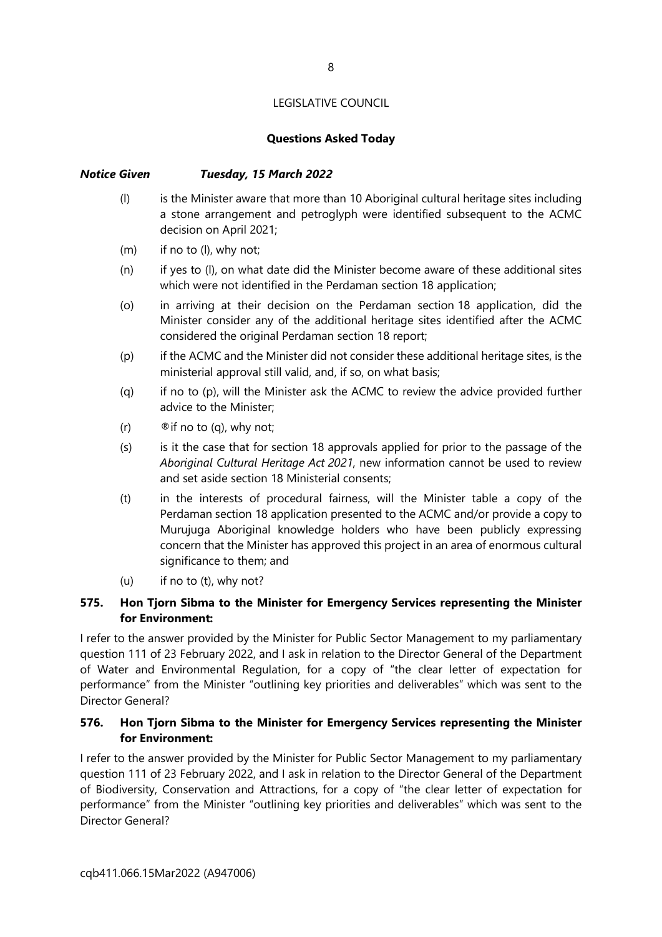#### Questions Asked Today

#### Notice Given Tuesday, 15 March 2022

- (l) is the Minister aware that more than 10 Aboriginal cultural heritage sites including a stone arrangement and petroglyph were identified subsequent to the ACMC decision on April 2021;
- (m) if no to (l), why not;
- (n) if yes to (l), on what date did the Minister become aware of these additional sites which were not identified in the Perdaman section 18 application;
- (o) in arriving at their decision on the Perdaman section 18 application, did the Minister consider any of the additional heritage sites identified after the ACMC considered the original Perdaman section 18 report;
- (p) if the ACMC and the Minister did not consider these additional heritage sites, is the ministerial approval still valid, and, if so, on what basis;
- (q) if no to (p), will the Minister ask the ACMC to review the advice provided further advice to the Minister;
- (r)  $\otimes$  if no to (q), why not;
- (s) is it the case that for section 18 approvals applied for prior to the passage of the Aboriginal Cultural Heritage Act 2021, new information cannot be used to review and set aside section 18 Ministerial consents;
- (t) in the interests of procedural fairness, will the Minister table a copy of the Perdaman section 18 application presented to the ACMC and/or provide a copy to Murujuga Aboriginal knowledge holders who have been publicly expressing concern that the Minister has approved this project in an area of enormous cultural significance to them; and
- (u) if no to (t), why not?

#### 575. Hon Tjorn Sibma to the Minister for Emergency Services representing the Minister for Environment:

I refer to the answer provided by the Minister for Public Sector Management to my parliamentary question 111 of 23 February 2022, and I ask in relation to the Director General of the Department of Water and Environmental Regulation, for a copy of "the clear letter of expectation for performance" from the Minister "outlining key priorities and deliverables" which was sent to the Director General?

#### 576. Hon Tjorn Sibma to the Minister for Emergency Services representing the Minister for Environment:

I refer to the answer provided by the Minister for Public Sector Management to my parliamentary question 111 of 23 February 2022, and I ask in relation to the Director General of the Department of Biodiversity, Conservation and Attractions, for a copy of "the clear letter of expectation for performance" from the Minister "outlining key priorities and deliverables" which was sent to the Director General?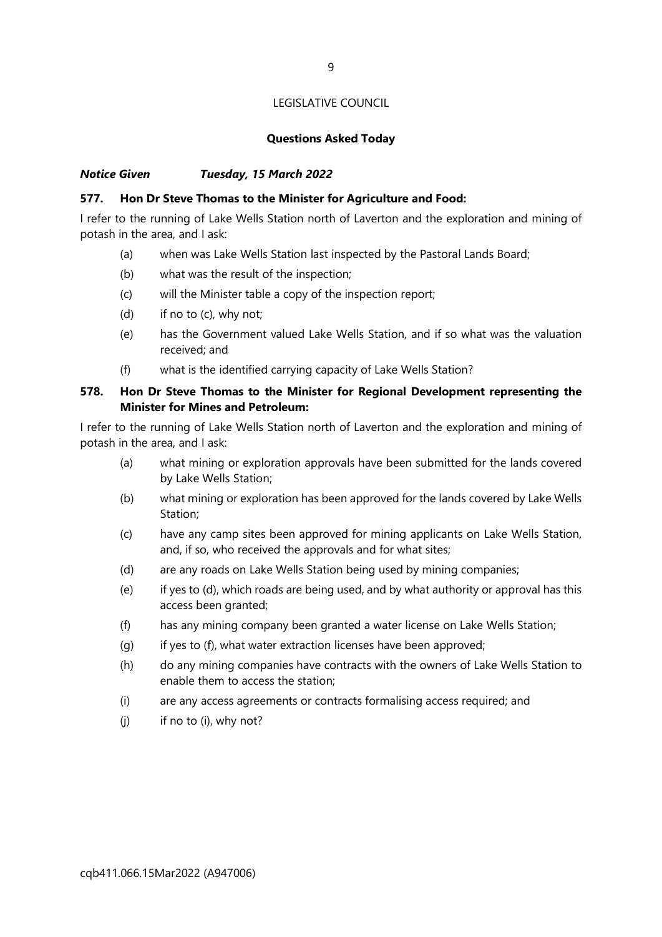#### Questions Asked Today

#### Notice Given Tuesday, 15 March 2022

#### 577. Hon Dr Steve Thomas to the Minister for Agriculture and Food:

I refer to the running of Lake Wells Station north of Laverton and the exploration and mining of potash in the area, and I ask:

- (a) when was Lake Wells Station last inspected by the Pastoral Lands Board;
- (b) what was the result of the inspection;
- (c) will the Minister table a copy of the inspection report;
- (d) if no to (c), why not;
- (e) has the Government valued Lake Wells Station, and if so what was the valuation received; and
- (f) what is the identified carrying capacity of Lake Wells Station?

#### 578. Hon Dr Steve Thomas to the Minister for Regional Development representing the Minister for Mines and Petroleum:

I refer to the running of Lake Wells Station north of Laverton and the exploration and mining of potash in the area, and I ask:

- (a) what mining or exploration approvals have been submitted for the lands covered by Lake Wells Station;
- (b) what mining or exploration has been approved for the lands covered by Lake Wells Station;
- (c) have any camp sites been approved for mining applicants on Lake Wells Station, and, if so, who received the approvals and for what sites;
- (d) are any roads on Lake Wells Station being used by mining companies;
- (e) if yes to (d), which roads are being used, and by what authority or approval has this access been granted;
- (f) has any mining company been granted a water license on Lake Wells Station;
- (g) if yes to (f), what water extraction licenses have been approved;
- (h) do any mining companies have contracts with the owners of Lake Wells Station to enable them to access the station;
- (i) are any access agreements or contracts formalising access required; and
- $(i)$  if no to  $(i)$ , why not?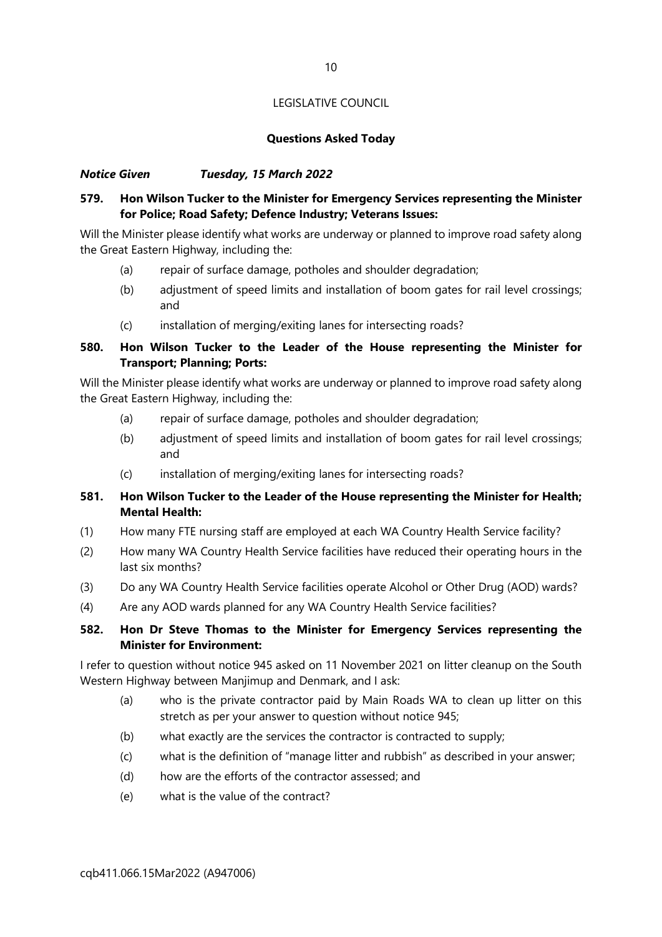#### Questions Asked Today

#### Notice Given Tuesday, 15 March 2022

#### 579. Hon Wilson Tucker to the Minister for Emergency Services representing the Minister for Police; Road Safety; Defence Industry; Veterans Issues:

Will the Minister please identify what works are underway or planned to improve road safety along the Great Eastern Highway, including the:

- (a) repair of surface damage, potholes and shoulder degradation;
- (b) adjustment of speed limits and installation of boom gates for rail level crossings; and
- (c) installation of merging/exiting lanes for intersecting roads?

#### 580. Hon Wilson Tucker to the Leader of the House representing the Minister for Transport; Planning; Ports:

Will the Minister please identify what works are underway or planned to improve road safety along the Great Eastern Highway, including the:

- (a) repair of surface damage, potholes and shoulder degradation;
- (b) adjustment of speed limits and installation of boom gates for rail level crossings; and
- (c) installation of merging/exiting lanes for intersecting roads?

#### 581. Hon Wilson Tucker to the Leader of the House representing the Minister for Health; Mental Health:

- (1) How many FTE nursing staff are employed at each WA Country Health Service facility?
- (2) How many WA Country Health Service facilities have reduced their operating hours in the last six months?
- (3) Do any WA Country Health Service facilities operate Alcohol or Other Drug (AOD) wards?
- (4) Are any AOD wards planned for any WA Country Health Service facilities?

#### 582. Hon Dr Steve Thomas to the Minister for Emergency Services representing the Minister for Environment:

I refer to question without notice 945 asked on 11 November 2021 on litter cleanup on the South Western Highway between Manjimup and Denmark, and I ask:

- (a) who is the private contractor paid by Main Roads WA to clean up litter on this stretch as per your answer to question without notice 945;
- (b) what exactly are the services the contractor is contracted to supply;
- (c) what is the definition of "manage litter and rubbish" as described in your answer;
- (d) how are the efforts of the contractor assessed; and
- (e) what is the value of the contract?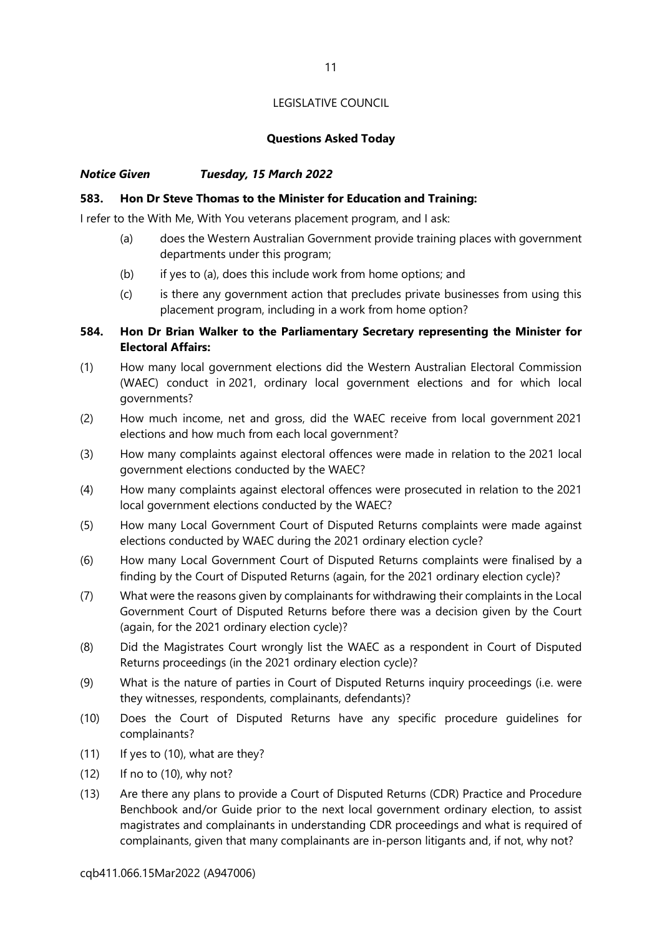#### Questions Asked Today

#### Notice Given Tuesday, 15 March 2022

#### 583. Hon Dr Steve Thomas to the Minister for Education and Training:

I refer to the With Me, With You veterans placement program, and I ask:

- (a) does the Western Australian Government provide training places with government departments under this program;
- (b) if yes to (a), does this include work from home options; and
- (c) is there any government action that precludes private businesses from using this placement program, including in a work from home option?

#### 584. Hon Dr Brian Walker to the Parliamentary Secretary representing the Minister for Electoral Affairs:

- (1) How many local government elections did the Western Australian Electoral Commission (WAEC) conduct in 2021, ordinary local government elections and for which local governments?
- (2) How much income, net and gross, did the WAEC receive from local government 2021 elections and how much from each local government?
- (3) How many complaints against electoral offences were made in relation to the 2021 local government elections conducted by the WAEC?
- (4) How many complaints against electoral offences were prosecuted in relation to the 2021 local government elections conducted by the WAEC?
- (5) How many Local Government Court of Disputed Returns complaints were made against elections conducted by WAEC during the 2021 ordinary election cycle?
- (6) How many Local Government Court of Disputed Returns complaints were finalised by a finding by the Court of Disputed Returns (again, for the 2021 ordinary election cycle)?
- (7) What were the reasons given by complainants for withdrawing their complaints in the Local Government Court of Disputed Returns before there was a decision given by the Court (again, for the 2021 ordinary election cycle)?
- (8) Did the Magistrates Court wrongly list the WAEC as a respondent in Court of Disputed Returns proceedings (in the 2021 ordinary election cycle)?
- (9) What is the nature of parties in Court of Disputed Returns inquiry proceedings (i.e. were they witnesses, respondents, complainants, defendants)?
- (10) Does the Court of Disputed Returns have any specific procedure guidelines for complainants?
- (11) If yes to (10), what are they?
- $(12)$  If no to  $(10)$ , why not?
- (13) Are there any plans to provide a Court of Disputed Returns (CDR) Practice and Procedure Benchbook and/or Guide prior to the next local government ordinary election, to assist magistrates and complainants in understanding CDR proceedings and what is required of complainants, given that many complainants are in-person litigants and, if not, why not?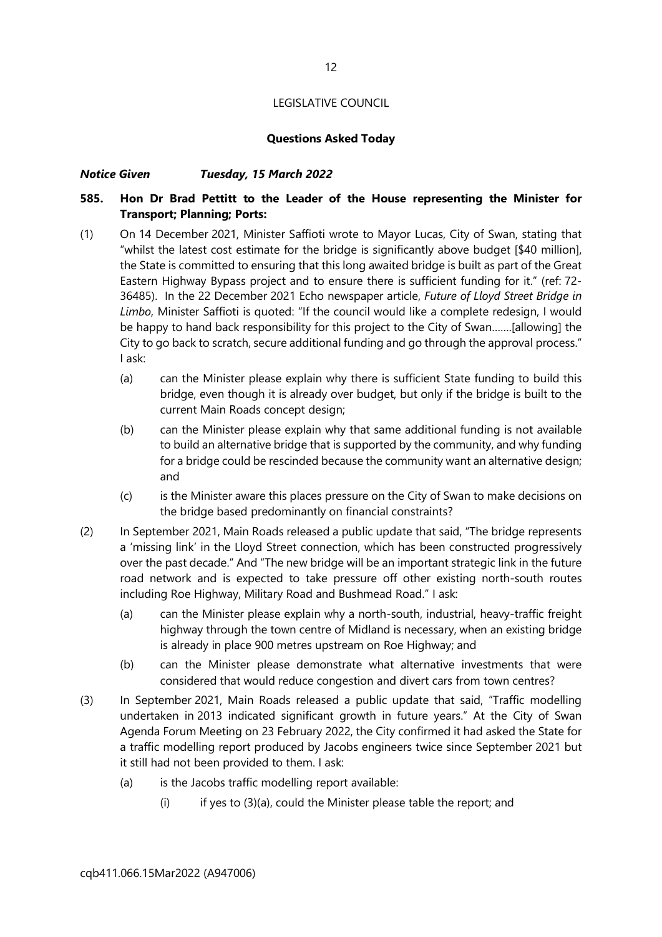#### Questions Asked Today

#### Notice Given Tuesday, 15 March 2022

#### 585. Hon Dr Brad Pettitt to the Leader of the House representing the Minister for Transport; Planning; Ports:

- (1) On 14 December 2021, Minister Saffioti wrote to Mayor Lucas, City of Swan, stating that "whilst the latest cost estimate for the bridge is significantly above budget [\$40 million], the State is committed to ensuring that this long awaited bridge is built as part of the Great Eastern Highway Bypass project and to ensure there is sufficient funding for it." (ref: 72- 36485). In the 22 December 2021 Echo newspaper article, Future of Lloyd Street Bridge in Limbo, Minister Saffioti is quoted: "If the council would like a complete redesign, I would be happy to hand back responsibility for this project to the City of Swan…….[allowing] the City to go back to scratch, secure additional funding and go through the approval process." I ask:
	- (a) can the Minister please explain why there is sufficient State funding to build this bridge, even though it is already over budget, but only if the bridge is built to the current Main Roads concept design;
	- (b) can the Minister please explain why that same additional funding is not available to build an alternative bridge that is supported by the community, and why funding for a bridge could be rescinded because the community want an alternative design; and
	- (c) is the Minister aware this places pressure on the City of Swan to make decisions on the bridge based predominantly on financial constraints?
- (2) In September 2021, Main Roads released a public update that said, "The bridge represents a 'missing link' in the Lloyd Street connection, which has been constructed progressively over the past decade." And "The new bridge will be an important strategic link in the future road network and is expected to take pressure off other existing north-south routes including Roe Highway, Military Road and Bushmead Road." I ask:
	- (a) can the Minister please explain why a north-south, industrial, heavy-traffic freight highway through the town centre of Midland is necessary, when an existing bridge is already in place 900 metres upstream on Roe Highway; and
	- (b) can the Minister please demonstrate what alternative investments that were considered that would reduce congestion and divert cars from town centres?
- (3) In September 2021, Main Roads released a public update that said, "Traffic modelling undertaken in 2013 indicated significant growth in future years." At the City of Swan Agenda Forum Meeting on 23 February 2022, the City confirmed it had asked the State for a traffic modelling report produced by Jacobs engineers twice since September 2021 but it still had not been provided to them. I ask:
	- (a) is the Jacobs traffic modelling report available:
		- $(i)$  if yes to  $(3)(a)$ , could the Minister please table the report; and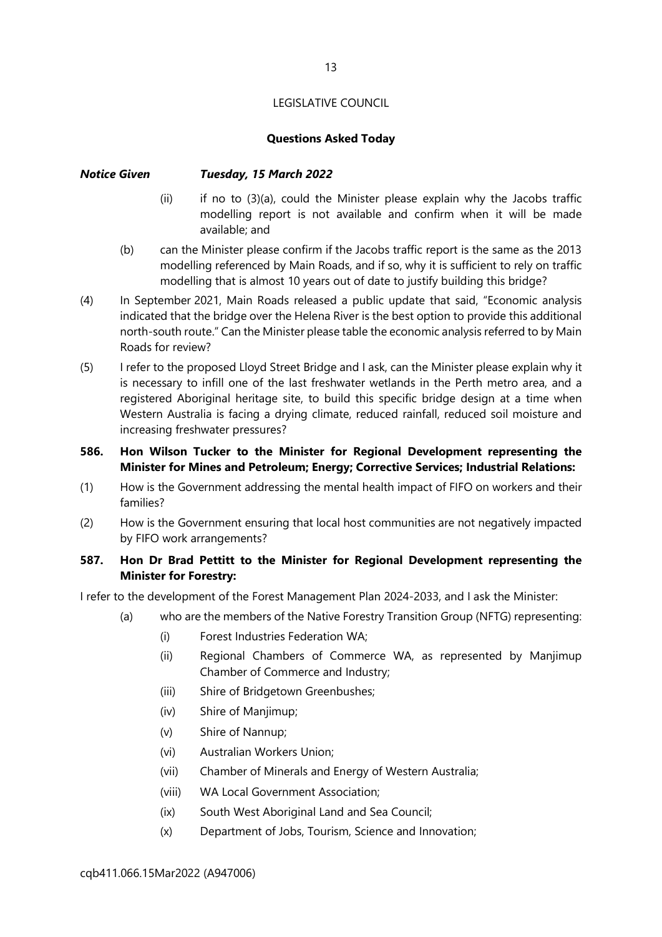#### Questions Asked Today

#### Notice Given Tuesday, 15 March 2022

- (ii) if no to (3)(a), could the Minister please explain why the Jacobs traffic modelling report is not available and confirm when it will be made available; and
- (b) can the Minister please confirm if the Jacobs traffic report is the same as the 2013 modelling referenced by Main Roads, and if so, why it is sufficient to rely on traffic modelling that is almost 10 years out of date to justify building this bridge?
- (4) In September 2021, Main Roads released a public update that said, "Economic analysis indicated that the bridge over the Helena River is the best option to provide this additional north-south route." Can the Minister please table the economic analysis referred to by Main Roads for review?
- (5) I refer to the proposed Lloyd Street Bridge and I ask, can the Minister please explain why it is necessary to infill one of the last freshwater wetlands in the Perth metro area, and a registered Aboriginal heritage site, to build this specific bridge design at a time when Western Australia is facing a drying climate, reduced rainfall, reduced soil moisture and increasing freshwater pressures?
- 586. Hon Wilson Tucker to the Minister for Regional Development representing the Minister for Mines and Petroleum; Energy; Corrective Services; Industrial Relations:
- (1) How is the Government addressing the mental health impact of FIFO on workers and their families?
- (2) How is the Government ensuring that local host communities are not negatively impacted by FIFO work arrangements?

#### 587. Hon Dr Brad Pettitt to the Minister for Regional Development representing the Minister for Forestry:

I refer to the development of the Forest Management Plan 2024-2033, and I ask the Minister:

- (a) who are the members of the Native Forestry Transition Group (NFTG) representing:
	- (i) Forest Industries Federation WA;
	- (ii) Regional Chambers of Commerce WA, as represented by Manjimup Chamber of Commerce and Industry;
	- (iii) Shire of Bridgetown Greenbushes;
	- (iv) Shire of Manjimup;
	- (v) Shire of Nannup;
	- (vi) Australian Workers Union;
	- (vii) Chamber of Minerals and Energy of Western Australia;
	- (viii) WA Local Government Association;
	- (ix) South West Aboriginal Land and Sea Council;
	- (x) Department of Jobs, Tourism, Science and Innovation;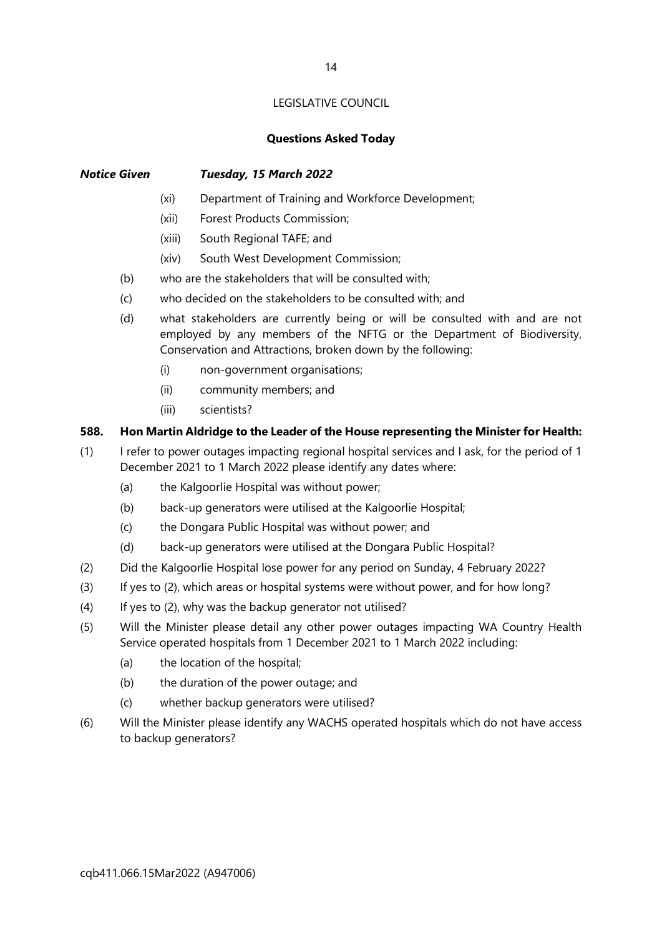#### Questions Asked Today

#### Notice Given Tuesday, 15 March 2022

- (xi) Department of Training and Workforce Development;
- (xii) Forest Products Commission;
- (xiii) South Regional TAFE; and
- (xiv) South West Development Commission;
- (b) who are the stakeholders that will be consulted with;
- (c) who decided on the stakeholders to be consulted with; and
- (d) what stakeholders are currently being or will be consulted with and are not employed by any members of the NFTG or the Department of Biodiversity, Conservation and Attractions, broken down by the following:
	- (i) non-government organisations;
	- (ii) community members; and
	- (iii) scientists?

#### 588. Hon Martin Aldridge to the Leader of the House representing the Minister for Health:

- (1) I refer to power outages impacting regional hospital services and I ask, for the period of 1 December 2021 to 1 March 2022 please identify any dates where:
	- (a) the Kalgoorlie Hospital was without power;
	- (b) back-up generators were utilised at the Kalgoorlie Hospital;
	- (c) the Dongara Public Hospital was without power; and
	- (d) back-up generators were utilised at the Dongara Public Hospital?
- (2) Did the Kalgoorlie Hospital lose power for any period on Sunday, 4 February 2022?
- (3) If yes to (2), which areas or hospital systems were without power, and for how long?
- (4) If yes to (2), why was the backup generator not utilised?
- (5) Will the Minister please detail any other power outages impacting WA Country Health Service operated hospitals from 1 December 2021 to 1 March 2022 including:
	- (a) the location of the hospital;
	- (b) the duration of the power outage; and
	- (c) whether backup generators were utilised?
- (6) Will the Minister please identify any WACHS operated hospitals which do not have access to backup generators?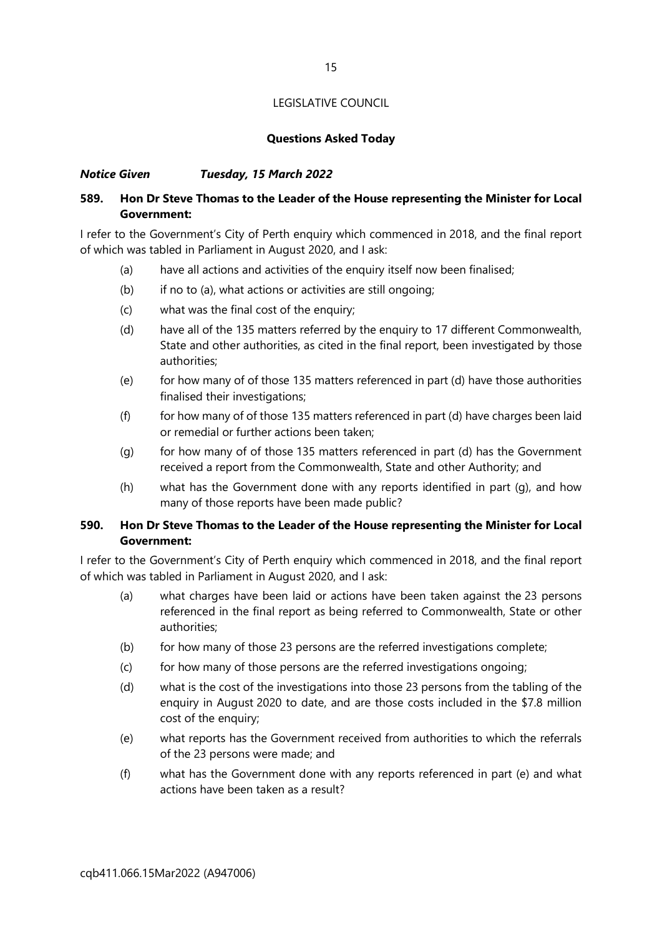#### Questions Asked Today

#### Notice Given Tuesday, 15 March 2022

#### 589. Hon Dr Steve Thomas to the Leader of the House representing the Minister for Local Government:

I refer to the Government's City of Perth enquiry which commenced in 2018, and the final report of which was tabled in Parliament in August 2020, and I ask:

- (a) have all actions and activities of the enquiry itself now been finalised;
- (b) if no to (a), what actions or activities are still ongoing;
- (c) what was the final cost of the enquiry;
- (d) have all of the 135 matters referred by the enquiry to 17 different Commonwealth, State and other authorities, as cited in the final report, been investigated by those authorities;
- (e) for how many of of those 135 matters referenced in part (d) have those authorities finalised their investigations;
- (f) for how many of of those 135 matters referenced in part (d) have charges been laid or remedial or further actions been taken;
- (g) for how many of of those 135 matters referenced in part (d) has the Government received a report from the Commonwealth, State and other Authority; and
- (h) what has the Government done with any reports identified in part (g), and how many of those reports have been made public?

#### 590. Hon Dr Steve Thomas to the Leader of the House representing the Minister for Local Government:

I refer to the Government's City of Perth enquiry which commenced in 2018, and the final report of which was tabled in Parliament in August 2020, and I ask:

- (a) what charges have been laid or actions have been taken against the 23 persons referenced in the final report as being referred to Commonwealth, State or other authorities;
- (b) for how many of those 23 persons are the referred investigations complete;
- (c) for how many of those persons are the referred investigations ongoing;
- (d) what is the cost of the investigations into those 23 persons from the tabling of the enquiry in August 2020 to date, and are those costs included in the \$7.8 million cost of the enquiry;
- (e) what reports has the Government received from authorities to which the referrals of the 23 persons were made; and
- (f) what has the Government done with any reports referenced in part (e) and what actions have been taken as a result?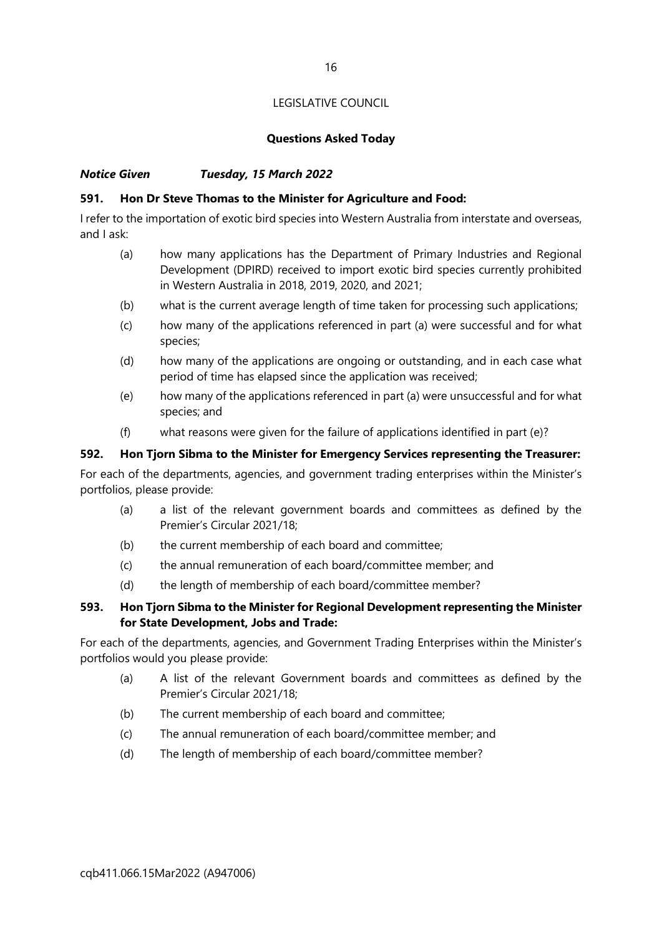#### Questions Asked Today

#### Notice Given Tuesday, 15 March 2022

#### 591. Hon Dr Steve Thomas to the Minister for Agriculture and Food:

I refer to the importation of exotic bird species into Western Australia from interstate and overseas, and I ask:

- (a) how many applications has the Department of Primary Industries and Regional Development (DPIRD) received to import exotic bird species currently prohibited in Western Australia in 2018, 2019, 2020, and 2021;
- (b) what is the current average length of time taken for processing such applications;
- (c) how many of the applications referenced in part (a) were successful and for what species;
- (d) how many of the applications are ongoing or outstanding, and in each case what period of time has elapsed since the application was received;
- (e) how many of the applications referenced in part (a) were unsuccessful and for what species; and
- (f) what reasons were given for the failure of applications identified in part (e)?

#### 592. Hon Tjorn Sibma to the Minister for Emergency Services representing the Treasurer:

For each of the departments, agencies, and government trading enterprises within the Minister's portfolios, please provide:

- (a) a list of the relevant government boards and committees as defined by the Premier's Circular 2021/18;
- (b) the current membership of each board and committee;
- (c) the annual remuneration of each board/committee member; and
- (d) the length of membership of each board/committee member?

#### 593. Hon Tjorn Sibma to the Minister for Regional Development representing the Minister for State Development, Jobs and Trade:

- (a) A list of the relevant Government boards and committees as defined by the Premier's Circular 2021/18;
- (b) The current membership of each board and committee;
- (c) The annual remuneration of each board/committee member; and
- (d) The length of membership of each board/committee member?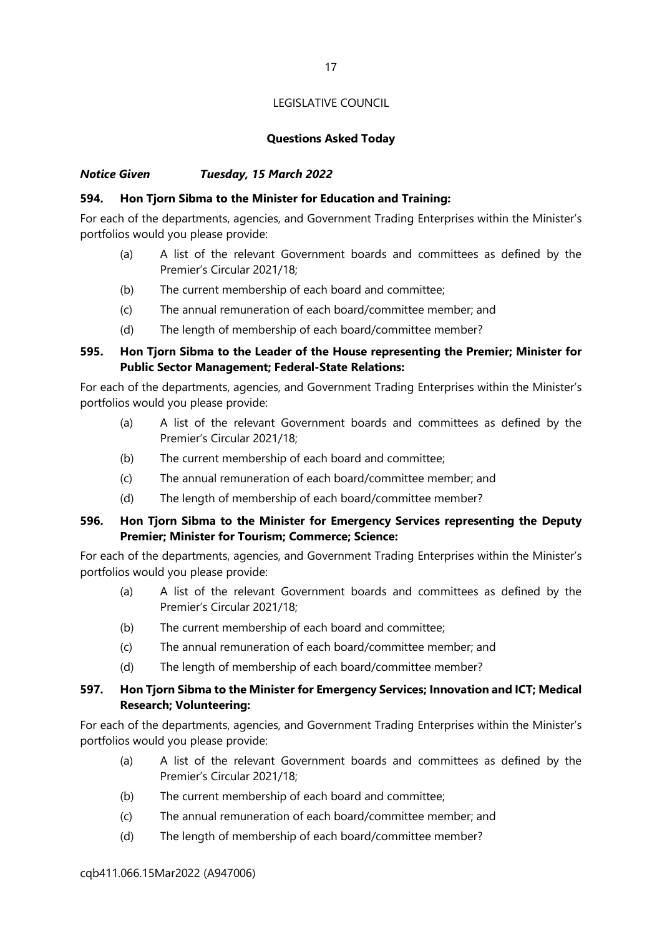#### Questions Asked Today

#### Notice Given Tuesday, 15 March 2022

#### 594. Hon Tjorn Sibma to the Minister for Education and Training:

For each of the departments, agencies, and Government Trading Enterprises within the Minister's portfolios would you please provide:

- (a) A list of the relevant Government boards and committees as defined by the Premier's Circular 2021/18;
- (b) The current membership of each board and committee;
- (c) The annual remuneration of each board/committee member; and
- (d) The length of membership of each board/committee member?

#### 595. Hon Tjorn Sibma to the Leader of the House representing the Premier; Minister for Public Sector Management; Federal-State Relations:

For each of the departments, agencies, and Government Trading Enterprises within the Minister's portfolios would you please provide:

- (a) A list of the relevant Government boards and committees as defined by the Premier's Circular 2021/18;
- (b) The current membership of each board and committee;
- (c) The annual remuneration of each board/committee member; and
- (d) The length of membership of each board/committee member?

#### 596. Hon Tjorn Sibma to the Minister for Emergency Services representing the Deputy Premier; Minister for Tourism; Commerce; Science:

For each of the departments, agencies, and Government Trading Enterprises within the Minister's portfolios would you please provide:

- (a) A list of the relevant Government boards and committees as defined by the Premier's Circular 2021/18;
- (b) The current membership of each board and committee;
- (c) The annual remuneration of each board/committee member; and
- (d) The length of membership of each board/committee member?

#### 597. Hon Tjorn Sibma to the Minister for Emergency Services; Innovation and ICT; Medical Research; Volunteering:

- (a) A list of the relevant Government boards and committees as defined by the Premier's Circular 2021/18;
- (b) The current membership of each board and committee;
- (c) The annual remuneration of each board/committee member; and
- (d) The length of membership of each board/committee member?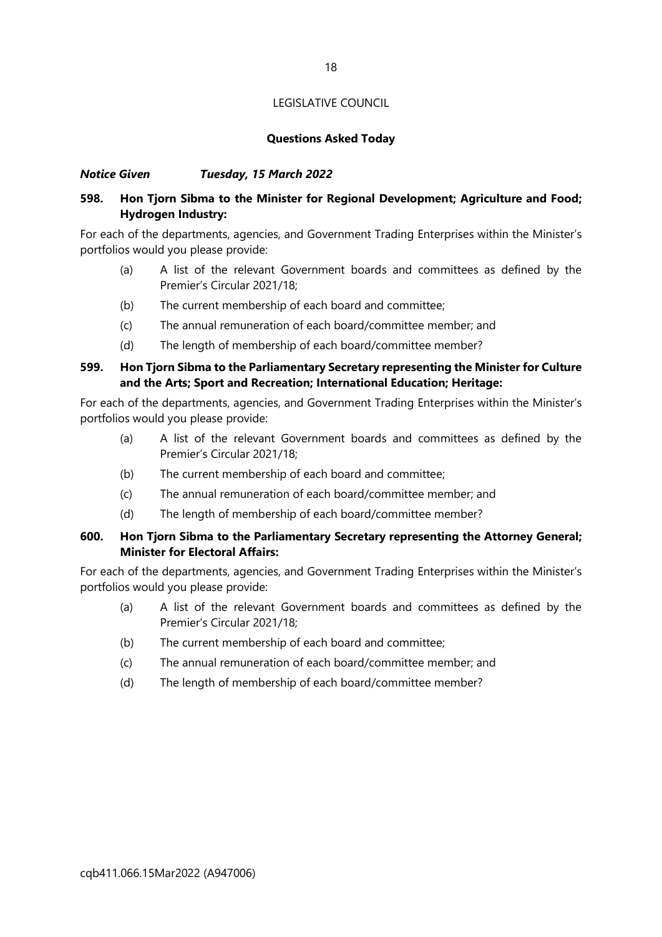#### Questions Asked Today

#### Notice Given Tuesday, 15 March 2022

#### 598. Hon Tjorn Sibma to the Minister for Regional Development; Agriculture and Food; Hydrogen Industry:

For each of the departments, agencies, and Government Trading Enterprises within the Minister's portfolios would you please provide:

- (a) A list of the relevant Government boards and committees as defined by the Premier's Circular 2021/18;
- (b) The current membership of each board and committee;
- (c) The annual remuneration of each board/committee member; and
- (d) The length of membership of each board/committee member?

#### 599. Hon Tjorn Sibma to the Parliamentary Secretary representing the Minister for Culture and the Arts; Sport and Recreation; International Education; Heritage:

For each of the departments, agencies, and Government Trading Enterprises within the Minister's portfolios would you please provide:

- (a) A list of the relevant Government boards and committees as defined by the Premier's Circular 2021/18;
- (b) The current membership of each board and committee;
- (c) The annual remuneration of each board/committee member; and
- (d) The length of membership of each board/committee member?

#### 600. Hon Tjorn Sibma to the Parliamentary Secretary representing the Attorney General; Minister for Electoral Affairs:

- (a) A list of the relevant Government boards and committees as defined by the Premier's Circular 2021/18;
- (b) The current membership of each board and committee;
- (c) The annual remuneration of each board/committee member; and
- (d) The length of membership of each board/committee member?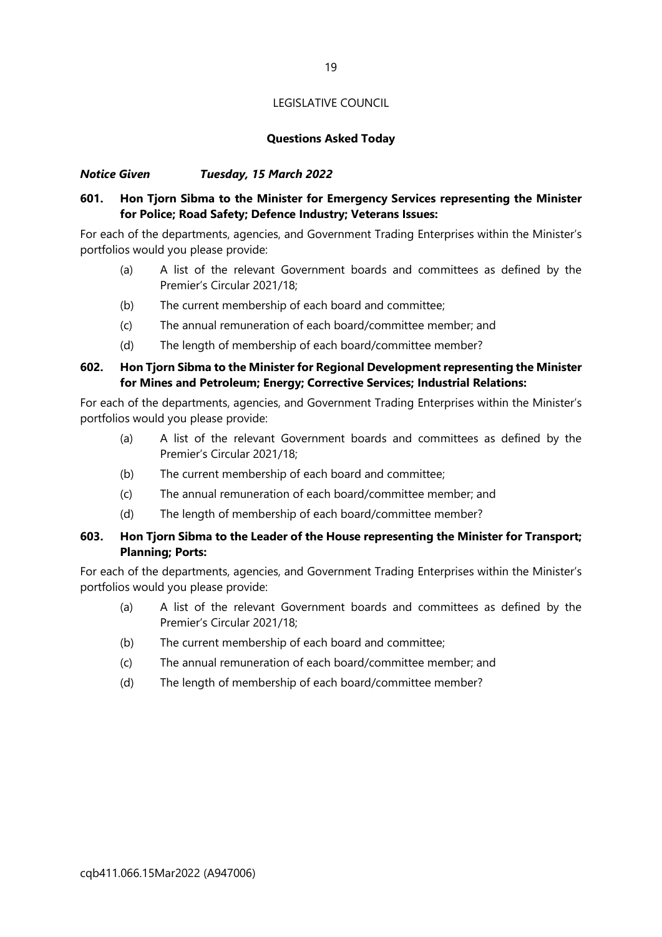#### Questions Asked Today

#### Notice Given Tuesday, 15 March 2022

#### 601. Hon Tjorn Sibma to the Minister for Emergency Services representing the Minister for Police; Road Safety; Defence Industry; Veterans Issues:

For each of the departments, agencies, and Government Trading Enterprises within the Minister's portfolios would you please provide:

- (a) A list of the relevant Government boards and committees as defined by the Premier's Circular 2021/18;
- (b) The current membership of each board and committee;
- (c) The annual remuneration of each board/committee member; and
- (d) The length of membership of each board/committee member?

#### 602. Hon Tjorn Sibma to the Minister for Regional Development representing the Minister for Mines and Petroleum; Energy; Corrective Services; Industrial Relations:

For each of the departments, agencies, and Government Trading Enterprises within the Minister's portfolios would you please provide:

- (a) A list of the relevant Government boards and committees as defined by the Premier's Circular 2021/18;
- (b) The current membership of each board and committee;
- (c) The annual remuneration of each board/committee member; and
- (d) The length of membership of each board/committee member?

#### 603. Hon Tjorn Sibma to the Leader of the House representing the Minister for Transport; Planning; Ports:

- (a) A list of the relevant Government boards and committees as defined by the Premier's Circular 2021/18;
- (b) The current membership of each board and committee;
- (c) The annual remuneration of each board/committee member; and
- (d) The length of membership of each board/committee member?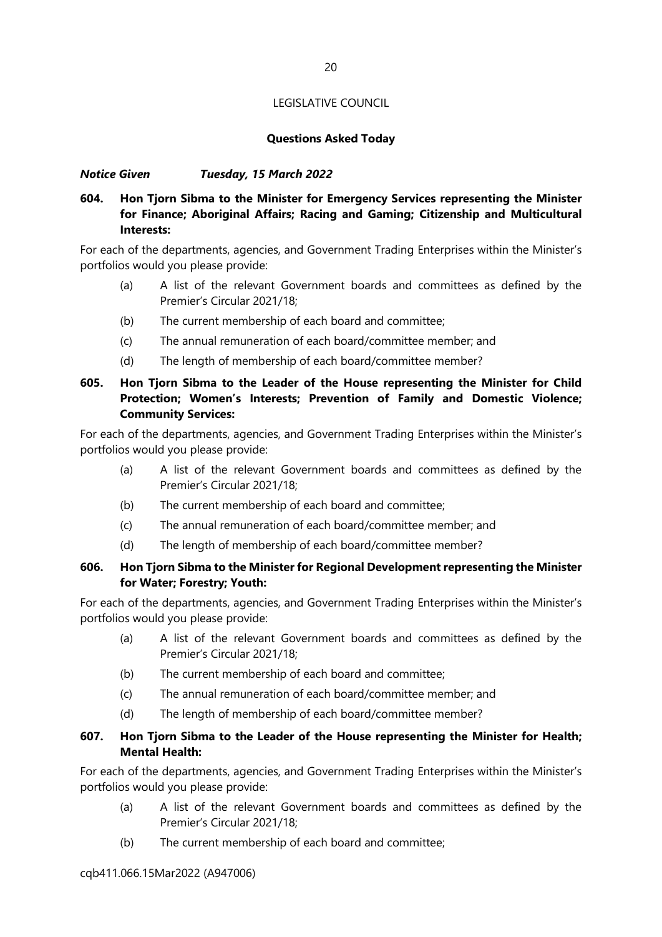#### Questions Asked Today

#### Notice Given Tuesday, 15 March 2022

#### 604. Hon Tjorn Sibma to the Minister for Emergency Services representing the Minister for Finance; Aboriginal Affairs; Racing and Gaming; Citizenship and Multicultural Interests<sup>.</sup>

For each of the departments, agencies, and Government Trading Enterprises within the Minister's portfolios would you please provide:

- (a) A list of the relevant Government boards and committees as defined by the Premier's Circular 2021/18;
- (b) The current membership of each board and committee;
- (c) The annual remuneration of each board/committee member; and
- (d) The length of membership of each board/committee member?

#### 605. Hon Tjorn Sibma to the Leader of the House representing the Minister for Child Protection; Women's Interests; Prevention of Family and Domestic Violence; Community Services:

For each of the departments, agencies, and Government Trading Enterprises within the Minister's portfolios would you please provide:

- (a) A list of the relevant Government boards and committees as defined by the Premier's Circular 2021/18;
- (b) The current membership of each board and committee;
- (c) The annual remuneration of each board/committee member; and
- (d) The length of membership of each board/committee member?

#### 606. Hon Tjorn Sibma to the Minister for Regional Development representing the Minister for Water; Forestry; Youth:

For each of the departments, agencies, and Government Trading Enterprises within the Minister's portfolios would you please provide:

- (a) A list of the relevant Government boards and committees as defined by the Premier's Circular 2021/18;
- (b) The current membership of each board and committee;
- (c) The annual remuneration of each board/committee member; and
- (d) The length of membership of each board/committee member?

#### 607. Hon Tjorn Sibma to the Leader of the House representing the Minister for Health; Mental Health:

- (a) A list of the relevant Government boards and committees as defined by the Premier's Circular 2021/18;
- (b) The current membership of each board and committee;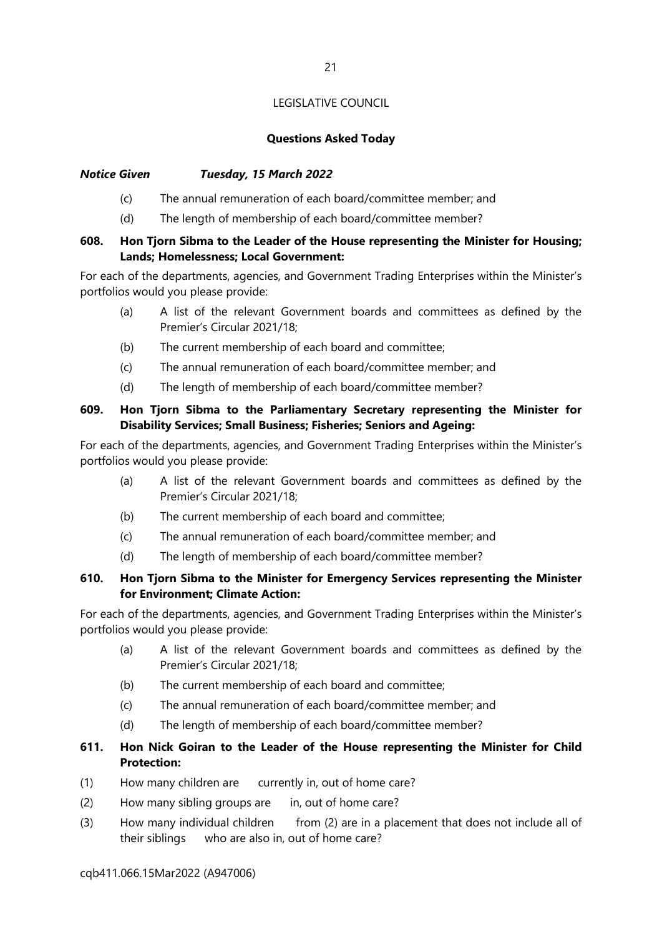#### Questions Asked Today

#### Notice Given Tuesday, 15 March 2022

- (c) The annual remuneration of each board/committee member; and
- (d) The length of membership of each board/committee member?

#### 608. Hon Tjorn Sibma to the Leader of the House representing the Minister for Housing; Lands; Homelessness; Local Government:

For each of the departments, agencies, and Government Trading Enterprises within the Minister's portfolios would you please provide:

- (a) A list of the relevant Government boards and committees as defined by the Premier's Circular 2021/18;
- (b) The current membership of each board and committee;
- (c) The annual remuneration of each board/committee member; and
- (d) The length of membership of each board/committee member?

#### 609. Hon Tjorn Sibma to the Parliamentary Secretary representing the Minister for Disability Services; Small Business; Fisheries; Seniors and Ageing:

For each of the departments, agencies, and Government Trading Enterprises within the Minister's portfolios would you please provide:

- (a) A list of the relevant Government boards and committees as defined by the Premier's Circular 2021/18;
- (b) The current membership of each board and committee;
- (c) The annual remuneration of each board/committee member; and
- (d) The length of membership of each board/committee member?

#### 610. Hon Tjorn Sibma to the Minister for Emergency Services representing the Minister for Environment; Climate Action:

For each of the departments, agencies, and Government Trading Enterprises within the Minister's portfolios would you please provide:

- (a) A list of the relevant Government boards and committees as defined by the Premier's Circular 2021/18;
- (b) The current membership of each board and committee;
- (c) The annual remuneration of each board/committee member; and
- (d) The length of membership of each board/committee member?

#### 611. Hon Nick Goiran to the Leader of the House representing the Minister for Child Protection:

- (1) How many children are currently in, out of home care?
- (2) How many sibling groups are in, out of home care?
- (3) How many individual children from (2) are in a placement that does not include all of their siblings who are also in, out of home care?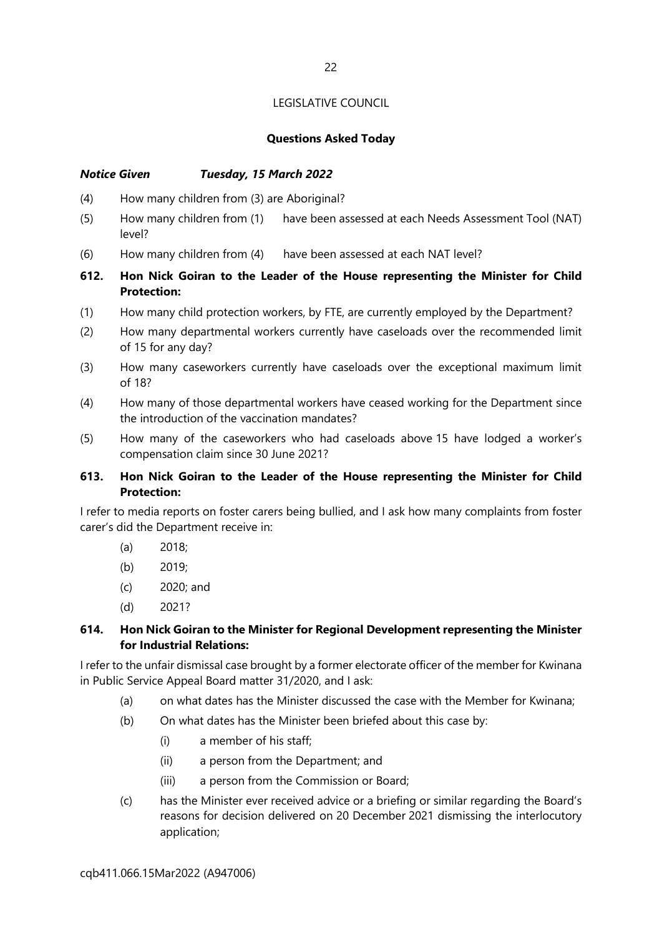#### Questions Asked Today

#### Notice Given Tuesday, 15 March 2022

- (4) How many children from (3) are Aboriginal?
- (5) How many children from (1) have been assessed at each Needs Assessment Tool (NAT) level?
- (6) How many children from (4) have been assessed at each NAT level?
- 612. Hon Nick Goiran to the Leader of the House representing the Minister for Child Protection:
- (1) How many child protection workers, by FTE, are currently employed by the Department?
- (2) How many departmental workers currently have caseloads over the recommended limit of 15 for any day?
- (3) How many caseworkers currently have caseloads over the exceptional maximum limit of 18?
- (4) How many of those departmental workers have ceased working for the Department since the introduction of the vaccination mandates?
- (5) How many of the caseworkers who had caseloads above 15 have lodged a worker's compensation claim since 30 June 2021?

#### 613. Hon Nick Goiran to the Leader of the House representing the Minister for Child Protection:

I refer to media reports on foster carers being bullied, and I ask how many complaints from foster carer's did the Department receive in:

- (a) 2018;
- (b) 2019;
- (c) 2020; and
- (d) 2021?

#### 614. Hon Nick Goiran to the Minister for Regional Development representing the Minister for Industrial Relations:

I refer to the unfair dismissal case brought by a former electorate officer of the member for Kwinana in Public Service Appeal Board matter 31/2020, and I ask:

- (a) on what dates has the Minister discussed the case with the Member for Kwinana;
- (b) On what dates has the Minister been briefed about this case by:
	- (i) a member of his staff;
	- (ii) a person from the Department; and
	- (iii) a person from the Commission or Board;
- (c) has the Minister ever received advice or a briefing or similar regarding the Board's reasons for decision delivered on 20 December 2021 dismissing the interlocutory application;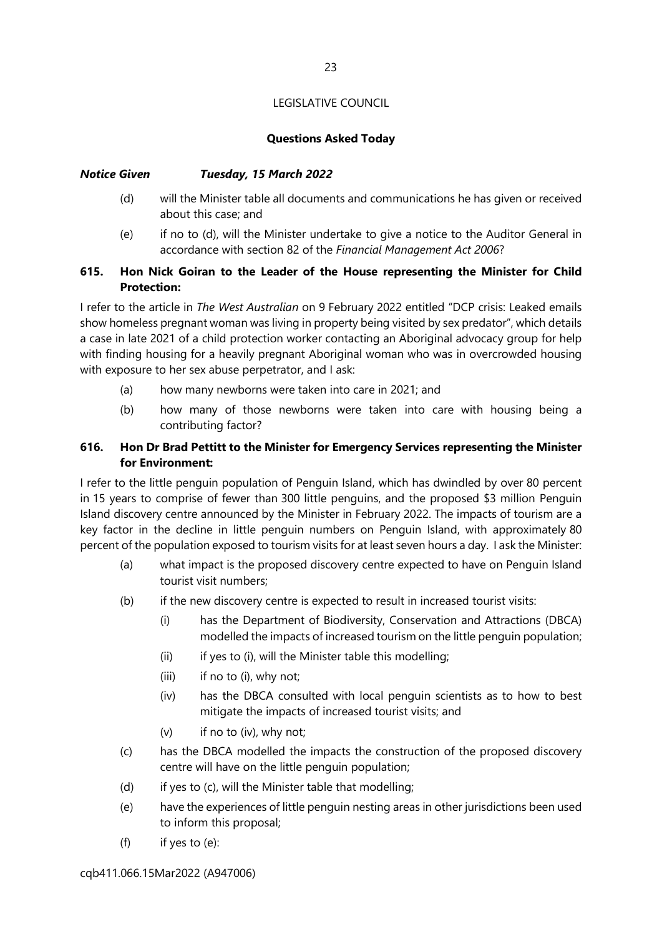#### Questions Asked Today

#### Notice Given Tuesday, 15 March 2022

- (d) will the Minister table all documents and communications he has given or received about this case; and
- (e) if no to (d), will the Minister undertake to give a notice to the Auditor General in accordance with section 82 of the Financial Management Act 2006?

#### 615. Hon Nick Goiran to the Leader of the House representing the Minister for Child Protection:

I refer to the article in The West Australian on 9 February 2022 entitled "DCP crisis: Leaked emails show homeless pregnant woman was living in property being visited by sex predator", which details a case in late 2021 of a child protection worker contacting an Aboriginal advocacy group for help with finding housing for a heavily pregnant Aboriginal woman who was in overcrowded housing with exposure to her sex abuse perpetrator, and I ask:

- (a) how many newborns were taken into care in 2021; and
- (b) how many of those newborns were taken into care with housing being a contributing factor?

#### 616. Hon Dr Brad Pettitt to the Minister for Emergency Services representing the Minister for Environment:

I refer to the little penguin population of Penguin Island, which has dwindled by over 80 percent in 15 years to comprise of fewer than 300 little penguins, and the proposed \$3 million Penguin Island discovery centre announced by the Minister in February 2022. The impacts of tourism are a key factor in the decline in little penguin numbers on Penguin Island, with approximately 80 percent of the population exposed to tourism visits for at least seven hours a day. I ask the Minister:

- (a) what impact is the proposed discovery centre expected to have on Penguin Island tourist visit numbers;
- (b) if the new discovery centre is expected to result in increased tourist visits:
	- (i) has the Department of Biodiversity, Conservation and Attractions (DBCA) modelled the impacts of increased tourism on the little penguin population;
	- (ii) if yes to (i), will the Minister table this modelling;
	- (iii) if no to (i), why not;
	- (iv) has the DBCA consulted with local penguin scientists as to how to best mitigate the impacts of increased tourist visits; and
	- (v) if no to (iv), why not;
- (c) has the DBCA modelled the impacts the construction of the proposed discovery centre will have on the little penguin population;
- (d) if yes to (c), will the Minister table that modelling;
- (e) have the experiences of little penguin nesting areas in other jurisdictions been used to inform this proposal;
- (f) if yes to (e):